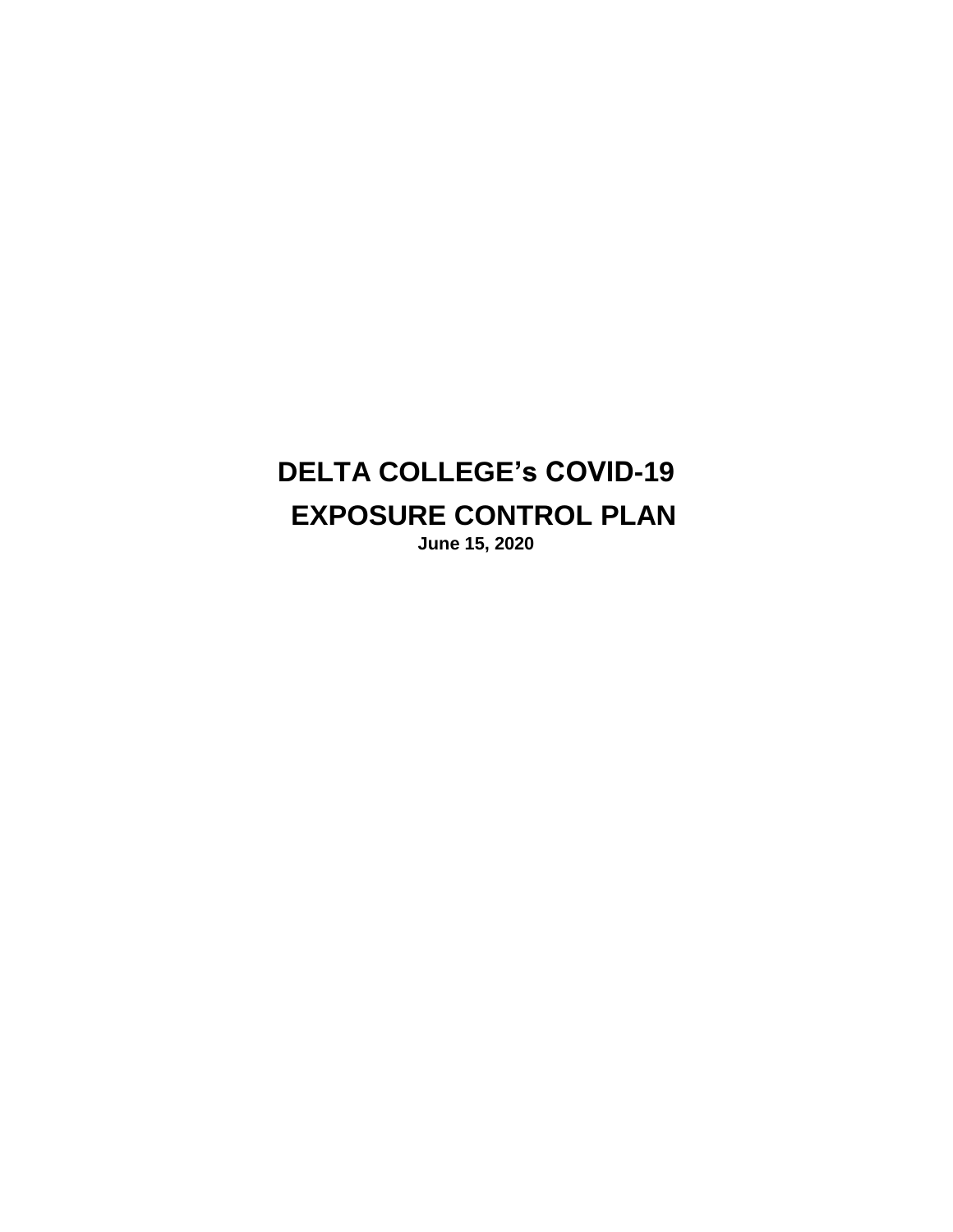# **DELTA COLLEGE's COVID-19 EXPOSURE CONTROL PLAN June 15, 2020**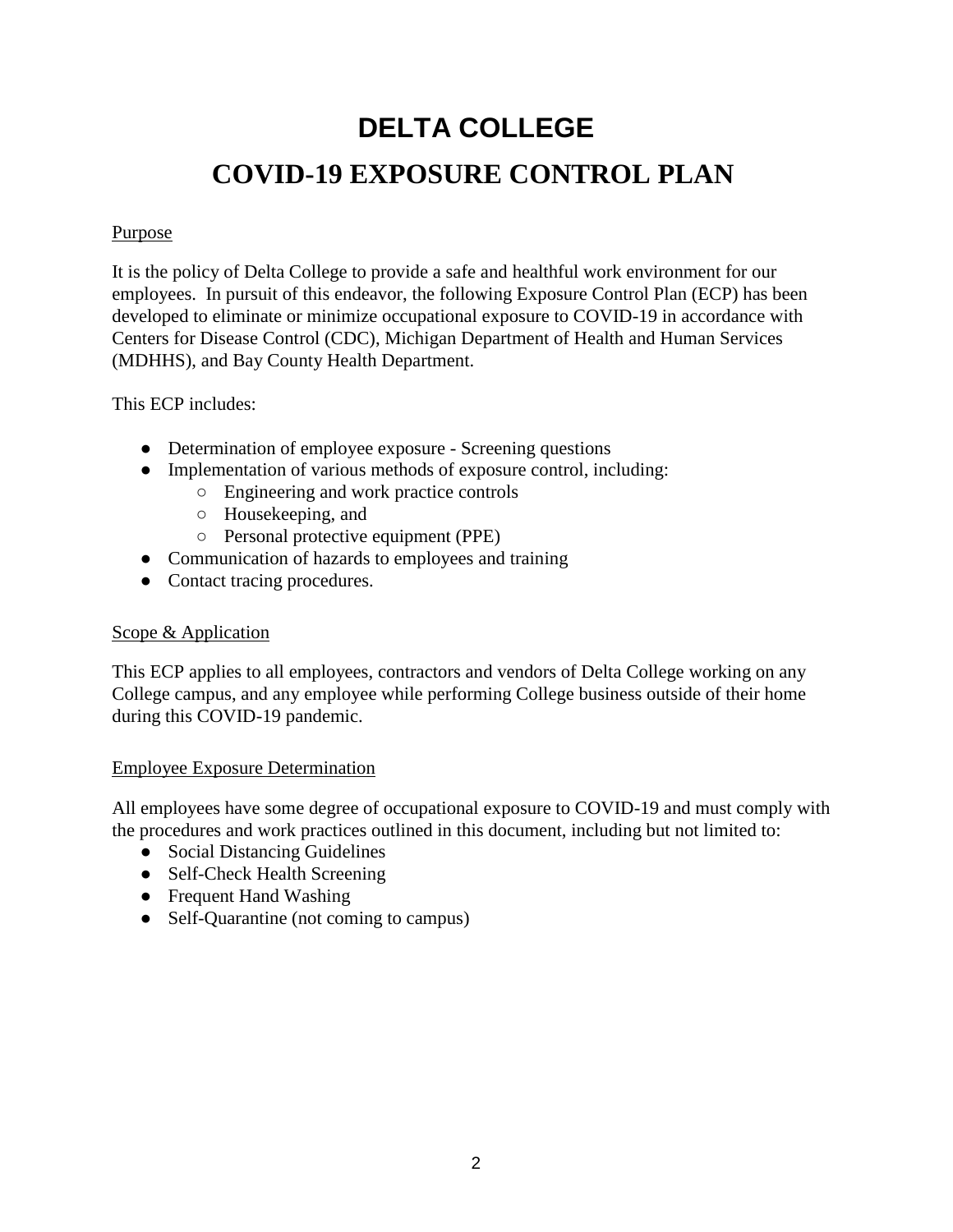# **DELTA COLLEGE COVID-19 EXPOSURE CONTROL PLAN**

#### Purpose

It is the policy of Delta College to provide a safe and healthful work environment for our employees. In pursuit of this endeavor, the following Exposure Control Plan (ECP) has been developed to eliminate or minimize occupational exposure to COVID-19 in accordance with Centers for Disease Control (CDC), Michigan Department of Health and Human Services (MDHHS), and Bay County Health Department.

This ECP includes:

- Determination of employee exposure Screening questions
- Implementation of various methods of exposure control, including:
	- Engineering and work practice controls
	- Housekeeping, and
	- Personal protective equipment (PPE)
- Communication of hazards to employees and training
- Contact tracing procedures.

#### Scope & Application

This ECP applies to all employees, contractors and vendors of Delta College working on any College campus, and any employee while performing College business outside of their home during this COVID-19 pandemic.

#### Employee Exposure Determination

All employees have some degree of occupational exposure to COVID-19 and must comply with the procedures and work practices outlined in this document, including but not limited to:

- Social Distancing Guidelines
- Self-Check Health Screening
- Frequent Hand Washing
- Self-Quarantine (not coming to campus)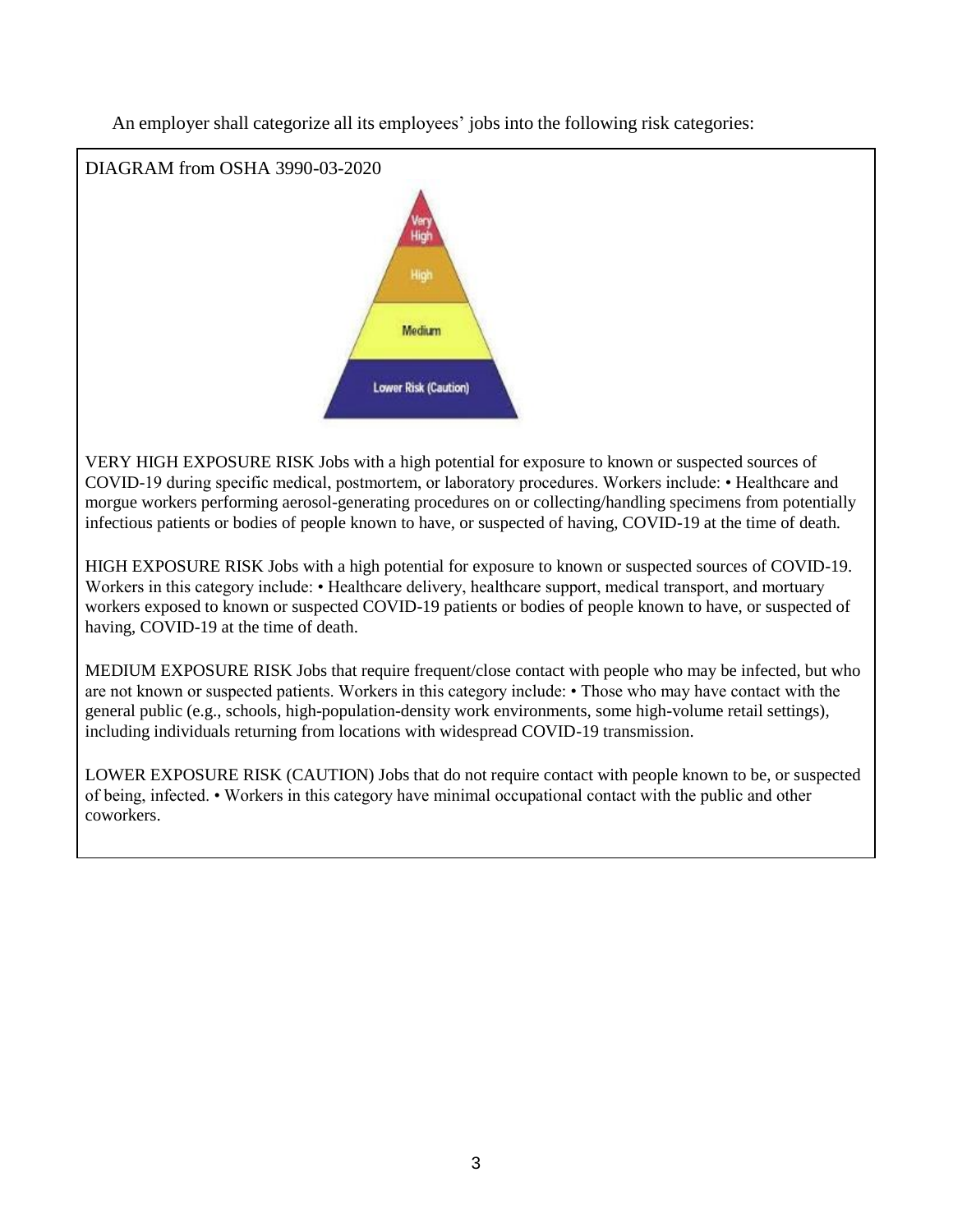DIAGRAM from OSHA 3990-03-2020 High High Medium **Lower Risk (Caution)** 

An employer shall categorize all its employees' jobs into the following risk categories:

VERY HIGH EXPOSURE RISK Jobs with a high potential for exposure to known or suspected sources of COVID-19 during specific medical, postmortem, or laboratory procedures. Workers include: • Healthcare and morgue workers performing aerosol-generating procedures on or collecting/handling specimens from potentially infectious patients or bodies of people known to have, or suspected of having, COVID-19 at the time of death.

HIGH EXPOSURE RISK Jobs with a high potential for exposure to known or suspected sources of COVID-19. Workers in this category include: • Healthcare delivery, healthcare support, medical transport, and mortuary workers exposed to known or suspected COVID-19 patients or bodies of people known to have, or suspected of having, COVID-19 at the time of death.

MEDIUM EXPOSURE RISK Jobs that require frequent/close contact with people who may be infected, but who are not known or suspected patients. Workers in this category include: • Those who may have contact with the general public (e.g., schools, high-population-density work environments, some high-volume retail settings), including individuals returning from locations with widespread COVID-19 transmission.

LOWER EXPOSURE RISK (CAUTION) Jobs that do not require contact with people known to be, or suspected of being, infected. • Workers in this category have minimal occupational contact with the public and other coworkers.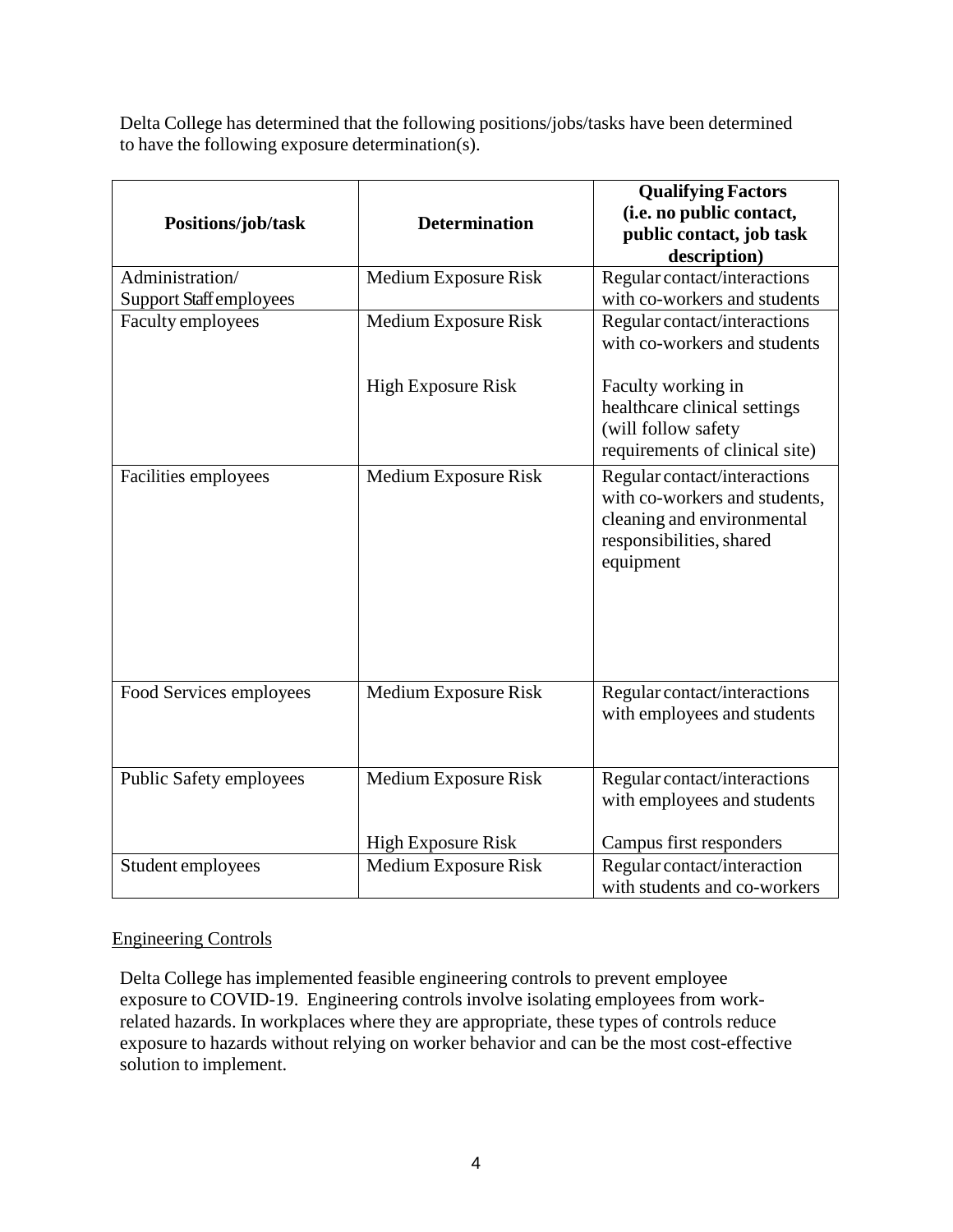Delta College has determined that the following positions/jobs/tasks have been determined to have the following exposure determination(s).

|                                |                           | <b>Qualifying Factors</b>      |
|--------------------------------|---------------------------|--------------------------------|
|                                | <b>Determination</b>      | (i.e. no public contact,       |
| Positions/job/task             |                           | public contact, job task       |
|                                |                           | description)                   |
| Administration/                | Medium Exposure Risk      | Regular contact/interactions   |
| <b>Support Staff employees</b> |                           | with co-workers and students   |
| Faculty employees              | Medium Exposure Risk      | Regular contact/interactions   |
|                                |                           | with co-workers and students   |
|                                |                           |                                |
|                                | <b>High Exposure Risk</b> | Faculty working in             |
|                                |                           | healthcare clinical settings   |
|                                |                           | (will follow safety            |
|                                |                           | requirements of clinical site) |
| Facilities employees           | Medium Exposure Risk      | Regular contact/interactions   |
|                                |                           | with co-workers and students,  |
|                                |                           | cleaning and environmental     |
|                                |                           | responsibilities, shared       |
|                                |                           | equipment                      |
|                                |                           |                                |
|                                |                           |                                |
|                                |                           |                                |
|                                |                           |                                |
|                                |                           |                                |
| Food Services employees        | Medium Exposure Risk      | Regular contact/interactions   |
|                                |                           | with employees and students    |
|                                |                           |                                |
|                                |                           |                                |
| Public Safety employees        | Medium Exposure Risk      | Regular contact/interactions   |
|                                |                           | with employees and students    |
|                                |                           |                                |
|                                | <b>High Exposure Risk</b> | Campus first responders        |
| Student employees              | Medium Exposure Risk      | Regular contact/interaction    |
|                                |                           | with students and co-workers   |

#### Engineering Controls

Delta College has implemented feasible engineering controls to prevent employee exposure to COVID-19. Engineering controls involve isolating employees from workrelated hazards. In workplaces where they are appropriate, these types of controls reduce exposure to hazards without relying on worker behavior and can be the most cost-effective solution to implement.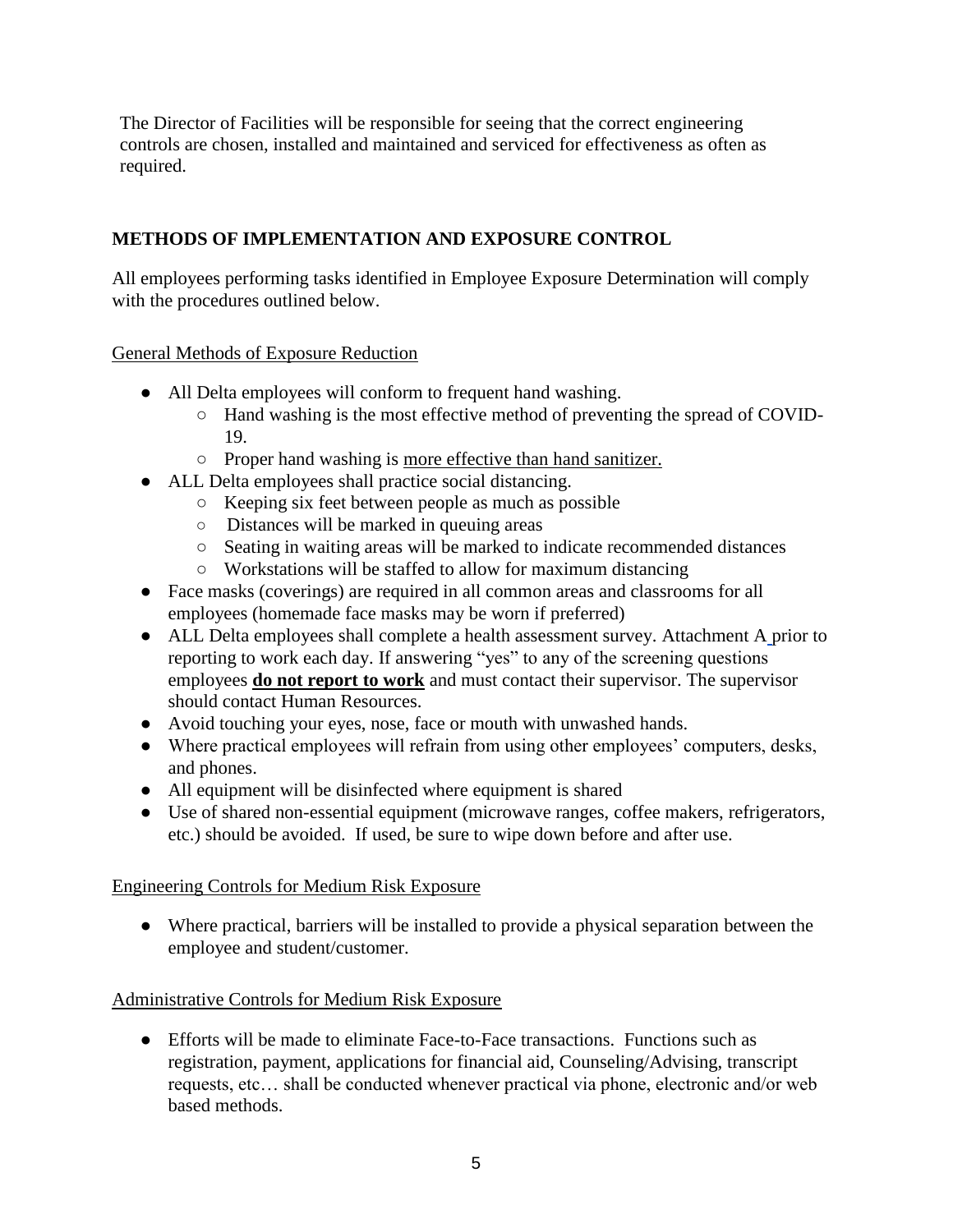The Director of Facilities will be responsible for seeing that the correct engineering controls are chosen, installed and maintained and serviced for effectiveness as often as required.

# **METHODS OF IMPLEMENTATION AND EXPOSURE CONTROL**

All employees performing tasks identified in Employee Exposure Determination will comply with the procedures outlined below.

#### General Methods of Exposure Reduction

- All Delta employees will conform to frequent hand washing.
	- Hand washing is the most effective method of preventing the spread of COVID-19.
	- Proper hand washing is more effective than hand sanitizer.
- ALL Delta employees shall practice social distancing.
	- Keeping six feet between people as much as possible
	- Distances will be marked in queuing areas
	- Seating in waiting areas will be marked to indicate recommended distances
	- Workstations will be staffed to allow for maximum distancing
- Face masks (coverings) are required in all common areas and classrooms for all employees (homemade face masks may be worn if preferred)
- ALL Delta employees shall complete a health assessment survey. Attachment A prior to reporting to work each day. If answering "yes" to any of the screening questions employees **do not report to work** and must contact their supervisor. The supervisor should contact Human Resources.
- Avoid touching your eyes, nose, face or mouth with unwashed hands.
- Where practical employees will refrain from using other employees' computers, desks, and phones.
- All equipment will be disinfected where equipment is shared
- Use of shared non-essential equipment (microwave ranges, coffee makers, refrigerators, etc.) should be avoided. If used, be sure to wipe down before and after use.

### Engineering Controls for Medium Risk Exposure

● Where practical, barriers will be installed to provide a physical separation between the employee and student/customer.

### Administrative Controls for Medium Risk Exposure

• Efforts will be made to eliminate Face-to-Face transactions. Functions such as registration, payment, applications for financial aid, Counseling/Advising, transcript requests, etc… shall be conducted whenever practical via phone, electronic and/or web based methods.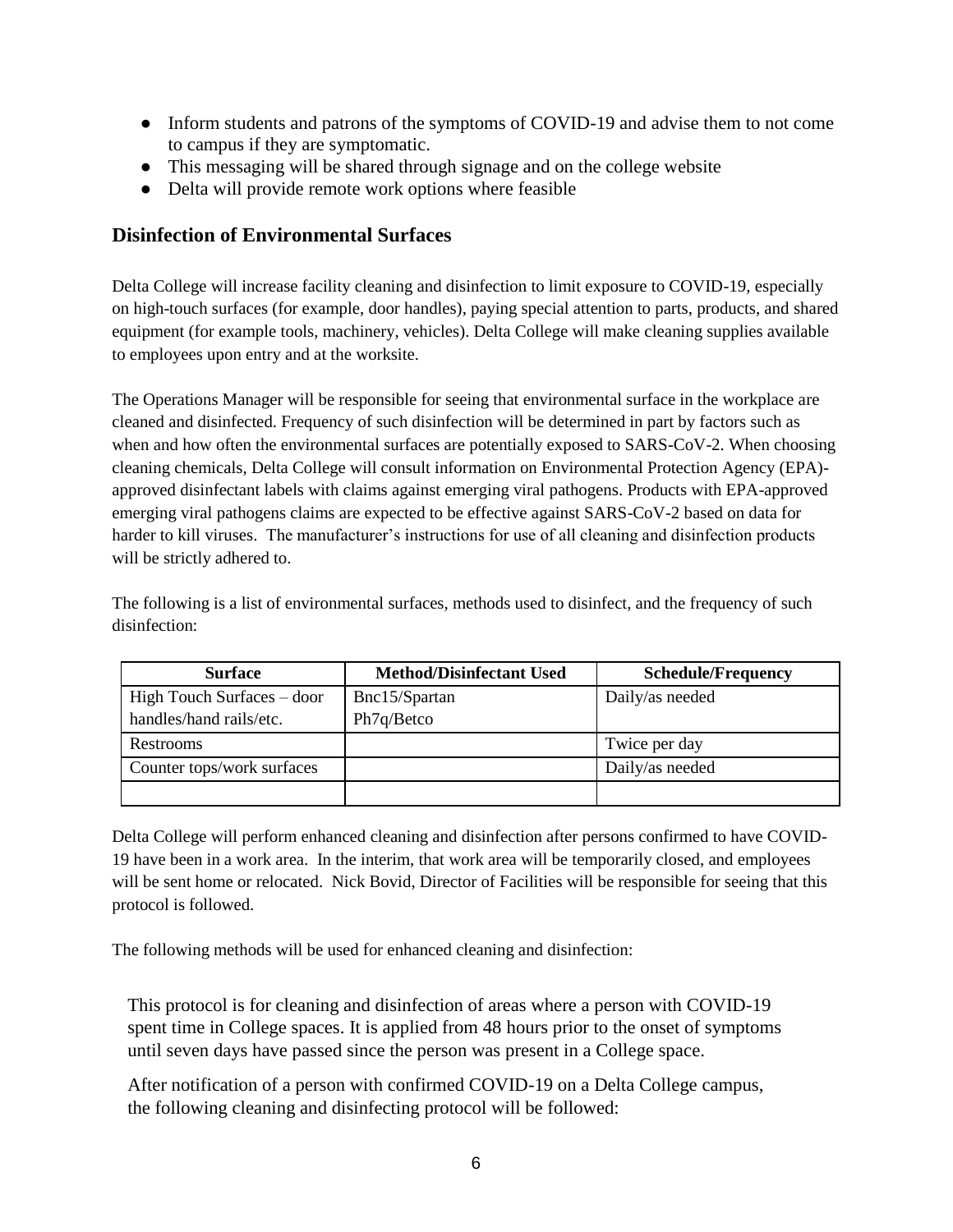- Inform students and patrons of the symptoms of COVID-19 and advise them to not come to campus if they are symptomatic.
- This messaging will be shared through signage and on the college website
- Delta will provide remote work options where feasible

### **Disinfection of Environmental Surfaces**

Delta College will increase facility cleaning and disinfection to limit exposure to COVID-19, especially on high-touch surfaces (for example, door handles), paying special attention to parts, products, and shared equipment (for example tools, machinery, vehicles). Delta College will make cleaning supplies available to employees upon entry and at the worksite.

The Operations Manager will be responsible for seeing that environmental surface in the workplace are cleaned and disinfected. Frequency of such disinfection will be determined in part by factors such as when and how often the environmental surfaces are potentially exposed to SARS-CoV-2. When choosing cleaning chemicals, Delta College will consult information on Environmental Protection Agency (EPA) approved disinfectant labels with claims against emerging viral pathogens. Products with EPA-approved emerging viral pathogens claims are expected to be effective against SARS-CoV-2 based on data for harder to kill viruses. The manufacturer's instructions for use of all cleaning and disinfection products will be strictly adhered to.

The following is a list of environmental surfaces, methods used to disinfect, and the frequency of such disinfection:

| <b>Surface</b>               | <b>Method/Disinfectant Used</b> | <b>Schedule/Frequency</b> |
|------------------------------|---------------------------------|---------------------------|
| High Touch Surfaces $-$ door | Bnc15/Spartan                   | Daily/as needed           |
| handles/hand rails/etc.      | Ph7q/Betco                      |                           |
| Restrooms                    |                                 | Twice per day             |
| Counter tops/work surfaces   |                                 | Daily/as needed           |
|                              |                                 |                           |

Delta College will perform enhanced cleaning and disinfection after persons confirmed to have COVID-19 have been in a work area. In the interim, that work area will be temporarily closed, and employees will be sent home or relocated. Nick Bovid, Director of Facilities will be responsible for seeing that this protocol is followed.

The following methods will be used for enhanced cleaning and disinfection:

This protocol is for cleaning and disinfection of areas where a person with COVID-19 spent time in College spaces. It is applied from 48 hours prior to the onset of symptoms until seven days have passed since the person was present in a College space.

After notification of a person with confirmed COVID-19 on a Delta College campus, the following cleaning and disinfecting protocol will be followed: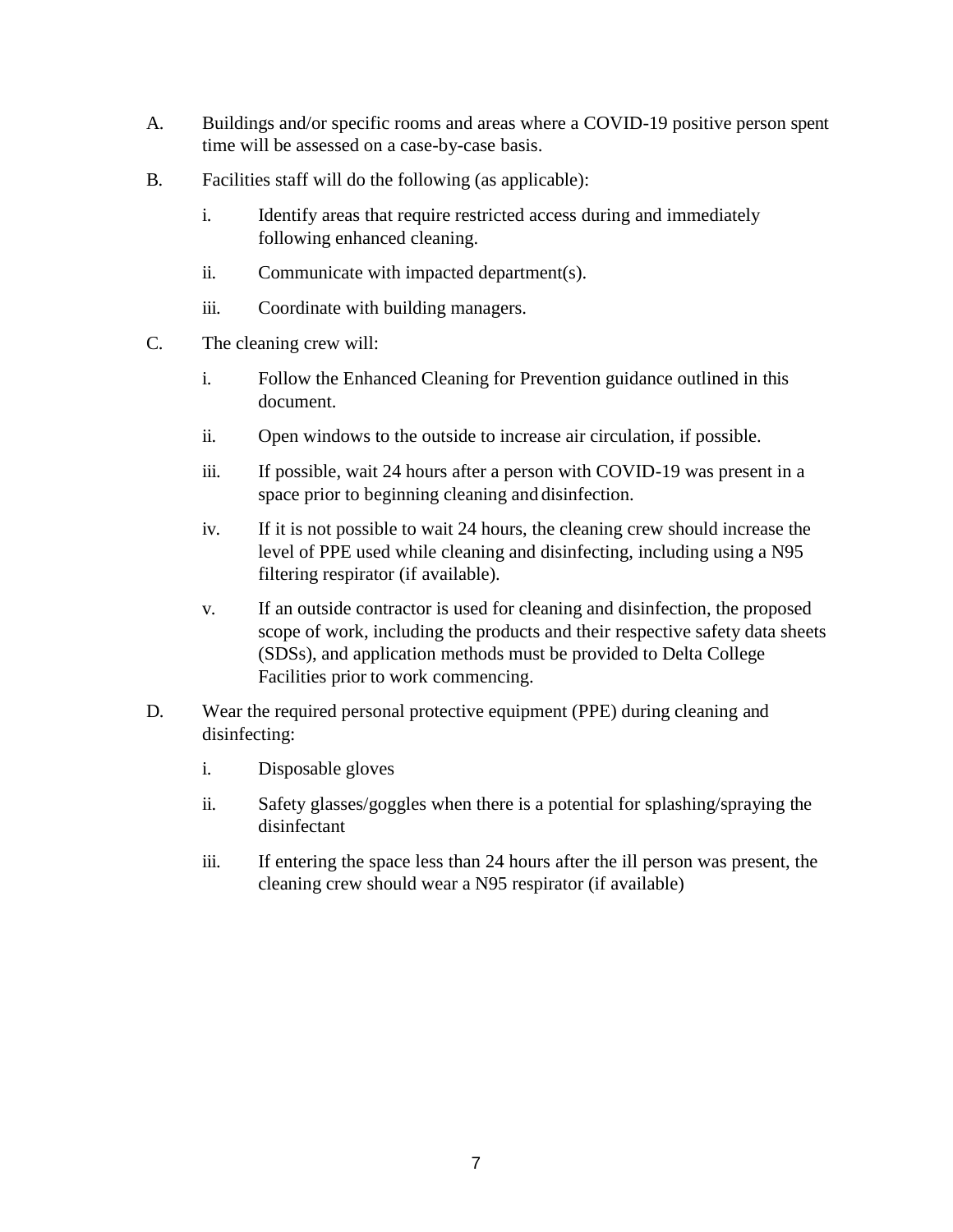- A. Buildings and/or specific rooms and areas where a COVID-19 positive person spent time will be assessed on a case-by-case basis.
- B. Facilities staff will do the following (as applicable):
	- i. Identify areas that require restricted access during and immediately following enhanced cleaning.
	- ii. Communicate with impacted department(s).
	- iii. Coordinate with building managers.
- C. The cleaning crew will:
	- i. Follow the Enhanced Cleaning for Prevention guidance outlined in this document.
	- ii. Open windows to the outside to increase air circulation, if possible.
	- iii. If possible, wait 24 hours after a person with COVID-19 was present in a space prior to beginning cleaning and disinfection.
	- iv. If it is not possible to wait 24 hours, the cleaning crew should increase the level of PPE used while cleaning and disinfecting, including using a N95 filtering respirator (if available).
	- v. If an outside contractor is used for cleaning and disinfection, the proposed scope of work, including the products and their respective safety data sheets (SDSs), and application methods must be provided to Delta College Facilities prior to work commencing.
- D. Wear the required personal protective equipment (PPE) during cleaning and disinfecting:
	- i. Disposable gloves
	- ii. Safety glasses/goggles when there is a potential for splashing/spraying the disinfectant
	- iii. If entering the space less than 24 hours after the ill person was present, the cleaning crew should wear a N95 respirator (if available)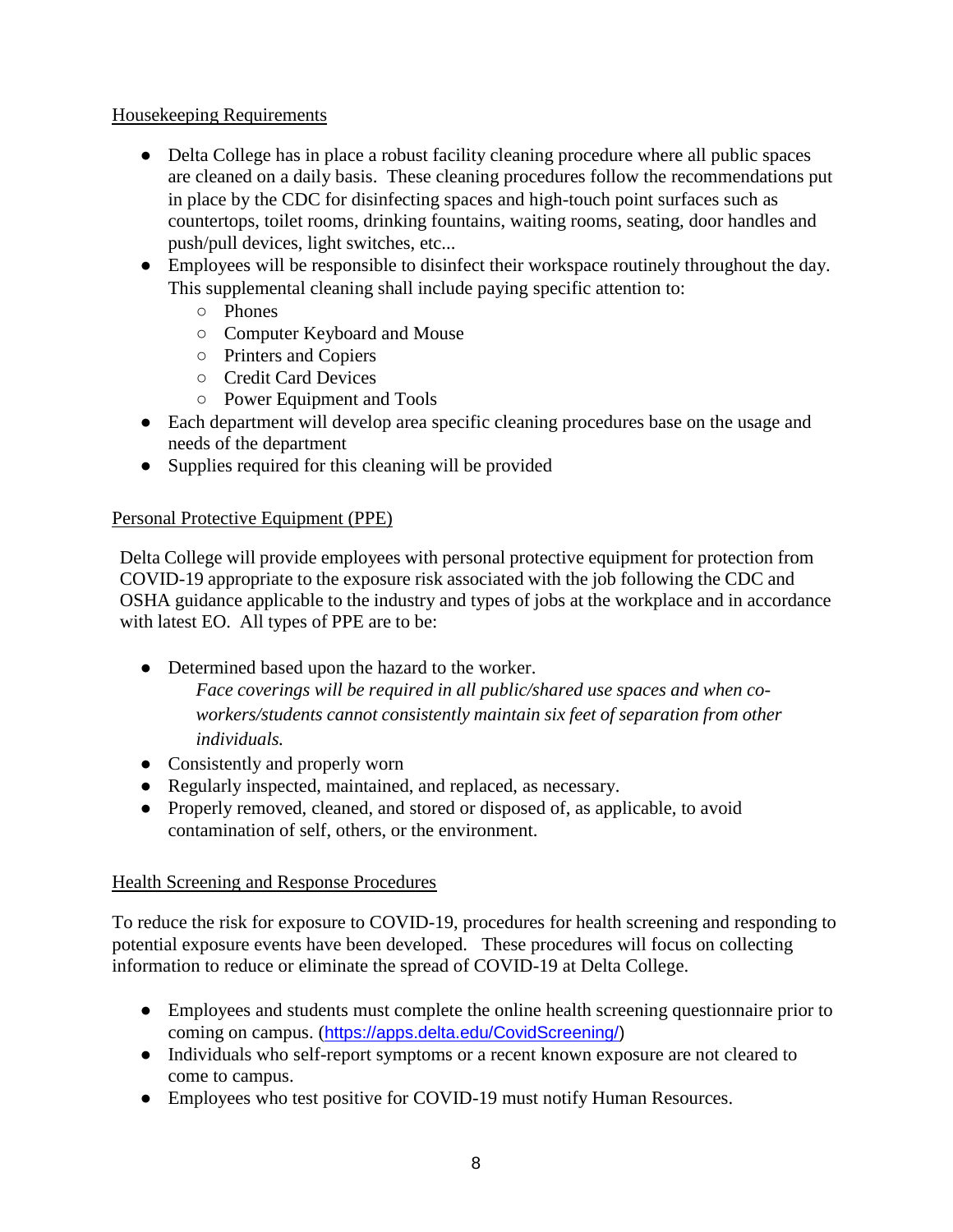#### Housekeeping Requirements

- Delta College has in place a robust facility cleaning procedure where all public spaces are cleaned on a daily basis. These cleaning procedures follow the recommendations put in place by the CDC for disinfecting spaces and high-touch point surfaces such as countertops, toilet rooms, drinking fountains, waiting rooms, seating, door handles and push/pull devices, light switches, etc...
- Employees will be responsible to disinfect their workspace routinely throughout the day. This supplemental cleaning shall include paying specific attention to:
	- Phones
	- Computer Keyboard and Mouse
	- Printers and Copiers
	- Credit Card Devices
	- Power Equipment and Tools
- Each department will develop area specific cleaning procedures base on the usage and needs of the department
- Supplies required for this cleaning will be provided

### Personal Protective Equipment (PPE)

Delta College will provide employees with personal protective equipment for protection from COVID-19 appropriate to the exposure risk associated with the job following the CDC and OSHA guidance applicable to the industry and types of jobs at the workplace and in accordance with latest EO. All types of PPE are to be:

- Determined based upon the hazard to the worker. *Face coverings will be required in all public/shared use spaces and when coworkers/students cannot consistently maintain six feet of separation from other individuals.*
- Consistently and properly worn
- Regularly inspected, maintained, and replaced, as necessary.
- Properly removed, cleaned, and stored or disposed of, as applicable, to avoid contamination of self, others, or the environment.

### Health Screening and Response Procedures

To reduce the risk for exposure to COVID-19, procedures for health screening and responding to potential exposure events have been developed. These procedures will focus on collecting information to reduce or eliminate the spread of COVID-19 at Delta College.

- Employees and students must complete the online health screening questionnaire prior to coming on campus. ([https://apps.delta.edu/CovidScreening/\)](https://nam11.safelinks.protection.outlook.com/?url=https%3A%2F%2Fapps.delta.edu%2FCovidScreening%2F&data=02%7C01%7CMeghan.Sadler%40ellucian.com%7Ce182772334ad410e703708d80d421767%7Cba4f1b25f4f74403892553e24140459f%7C0%7C0%7C637273924811753567&sdata=vvth7NnWFUCACg%2F9rrGQFZNLR5dDKp1EaKTFcWp3WHc%3D&reserved=0)
- Individuals who self-report symptoms or a recent known exposure are not cleared to come to campus.
- Employees who test positive for COVID-19 must notify Human Resources.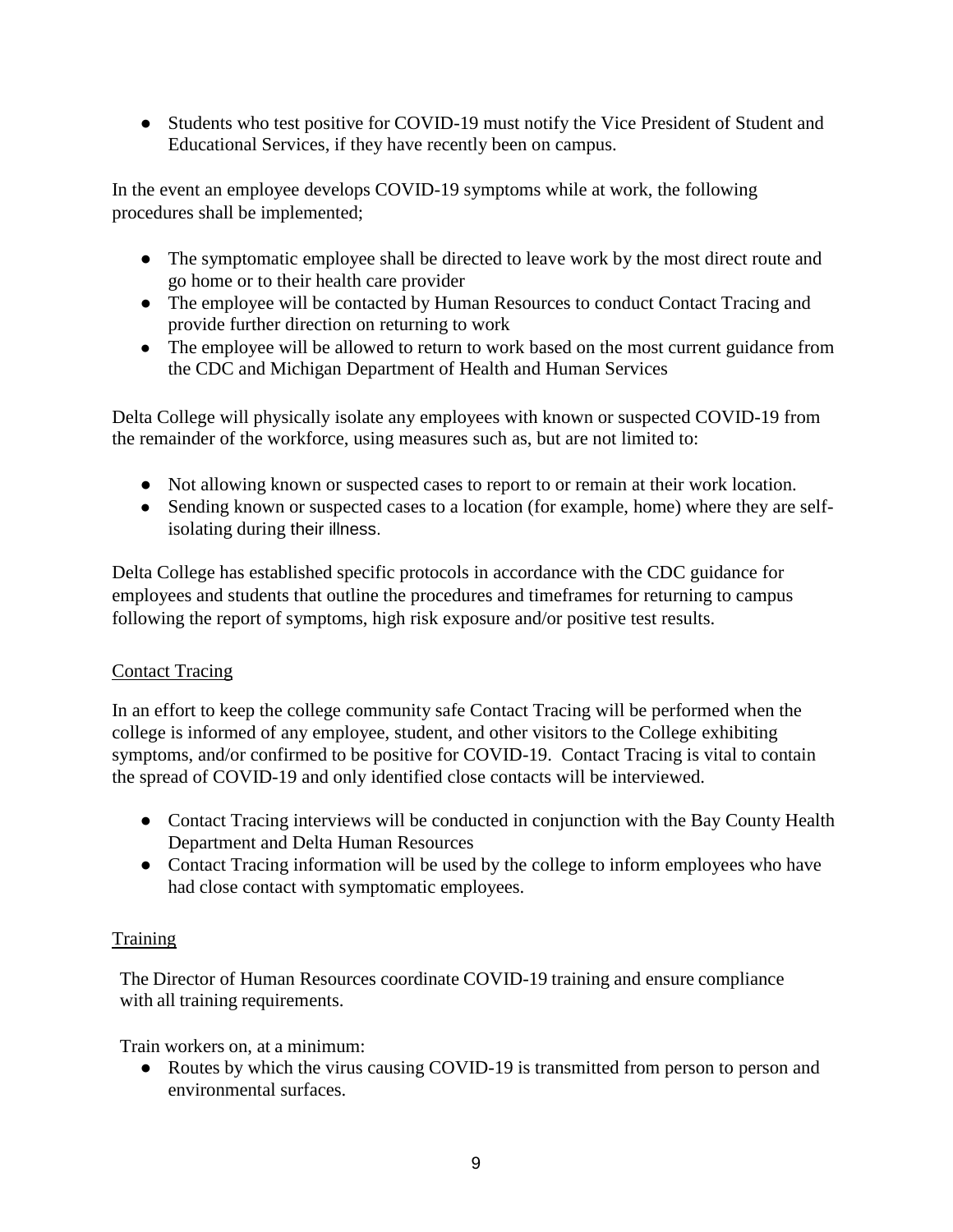• Students who test positive for COVID-19 must notify the Vice President of Student and Educational Services, if they have recently been on campus.

In the event an employee develops COVID-19 symptoms while at work, the following procedures shall be implemented;

- The symptomatic employee shall be directed to leave work by the most direct route and go home or to their health care provider
- The employee will be contacted by Human Resources to conduct Contact Tracing and provide further direction on returning to work
- The employee will be allowed to return to work based on the most current guidance from the CDC and Michigan Department of Health and Human Services

Delta College will physically isolate any employees with known or suspected COVID-19 from the remainder of the workforce, using measures such as, but are not limited to:

- Not allowing known or suspected cases to report to or remain at their work location.
- Sending known or suspected cases to a location (for example, home) where they are selfisolating during their illness.

Delta College has established specific protocols in accordance with the CDC guidance for employees and students that outline the procedures and timeframes for returning to campus following the report of symptoms, high risk exposure and/or positive test results.

### Contact Tracing

In an effort to keep the college community safe Contact Tracing will be performed when the college is informed of any employee, student, and other visitors to the College exhibiting symptoms, and/or confirmed to be positive for COVID-19. Contact Tracing is vital to contain the spread of COVID-19 and only identified close contacts will be interviewed.

- Contact Tracing interviews will be conducted in conjunction with the Bay County Health Department and Delta Human Resources
- Contact Tracing information will be used by the college to inform employees who have had close contact with symptomatic employees.

# Training

The Director of Human Resources coordinate COVID-19 training and ensure compliance with all training requirements.

Train workers on, at a minimum:

● Routes by which the virus causing COVID-19 is transmitted from person to person and environmental surfaces.